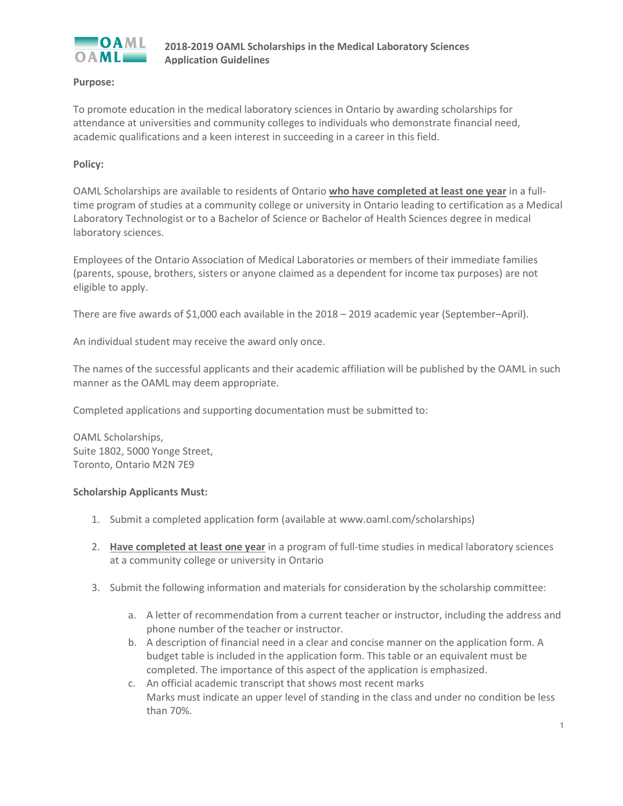

# **Purpose:**

To promote education in the medical laboratory sciences in Ontario by awarding scholarships for attendance at universities and community colleges to individuals who demonstrate financial need, academic qualifications and a keen interest in succeeding in a career in this field.

# **Policy:**

OAML Scholarships are available to residents of Ontario **who have completed at least one year** in a fulltime program of studies at a community college or university in Ontario leading to certification as a Medical Laboratory Technologist or to a Bachelor of Science or Bachelor of Health Sciences degree in medical laboratory sciences.

Employees of the Ontario Association of Medical Laboratories or members of their immediate families (parents, spouse, brothers, sisters or anyone claimed as a dependent for income tax purposes) are not eligible to apply.

There are five awards of \$1,000 each available in the 2018 – 2019 academic year (September–April).

An individual student may receive the award only once.

The names of the successful applicants and their academic affiliation will be published by the OAML in such manner as the OAML may deem appropriate.

Completed applications and supporting documentation must be submitted to:

OAML Scholarships, Suite 1802, 5000 Yonge Street, Toronto, Ontario M2N 7E9

### **Scholarship Applicants Must:**

- 1. Submit a completed application form (available at www.oaml.com/scholarships)
- 2. **Have completed at least one year** in a program of full-time studies in medical laboratory sciences at a community college or university in Ontario
- 3. Submit the following information and materials for consideration by the scholarship committee:
	- a. A letter of recommendation from a current teacher or instructor, including the address and phone number of the teacher or instructor.
	- b. A description of financial need in a clear and concise manner on the application form. A budget table is included in the application form. This table or an equivalent must be completed. The importance of this aspect of the application is emphasized.
	- c. An official academic transcript that shows most recent marks Marks must indicate an upper level of standing in the class and under no condition be less than 70%.